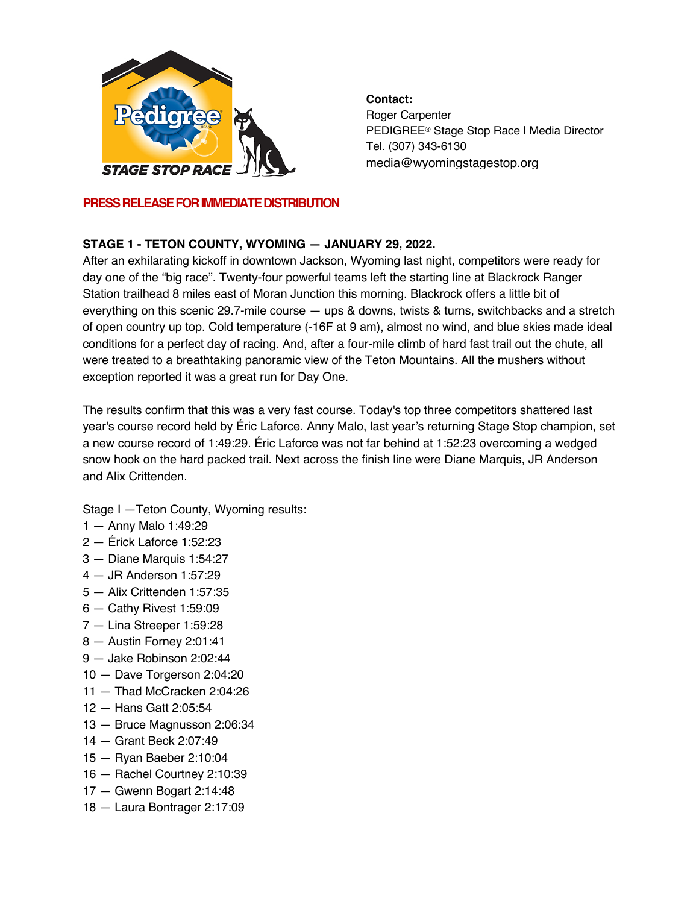

**PRESS RELEASE FOR IMMEDIATE DISTRIBUTION**

**Contact:**

Roger Carpenter PEDIGREE® Stage Stop Race | Media Director Tel. (307) 343-6130 media@wyomingstagestop.org

**STAGE 1 - TETON COUNTY, WYOMING — JANUARY 29, 2022.** release:After an exhilarating kickoff in downtown Jackson, Wyoming last night, competitors were ready for day one of the "big race". Twenty-four powerful teams left the starting line at Blackrock Ranger Station trailhead 8 miles east of Moran Junction this morning. Blackrock offers a little bit of everything on this scenic 29.7-mile course — ups & downs, twists & turns, switchbacks and a stretch of open country up top. Cold temperature (-16F at 9 am), almost no wind, and blue skies made ideal conditions for a perfect day of racing. And, after a four-mile climb of hard fast trail out the chute, all were treated to a breathtaking panoramic view of the Teton Mountains. All the mushers without exception reported it was a great run for Day One.

The results confirm that this was a very fast course. Today's top three competitors shattered last year's course record held by Éric Laforce. Anny Malo, last year's returning Stage Stop champion, set a new course record of 1:49:29. Éric Laforce was not far behind at 1:52:23 overcoming a wedged snow hook on the hard packed trail. Next across the finish line were Diane Marquis, JR Anderson and Alix Crittenden.

Stage I —Teton County, Wyoming results:

- 1 Anny Malo 1:49:29
- 2 Érick Laforce 1:52:23
- 3 Diane Marquis 1:54:27
- 4 JR Anderson 1:57:29
- 5 Alix Crittenden 1:57:35
- 6 Cathy Rivest 1:59:09
- 7 Lina Streeper 1:59:28
- 8 Austin Forney 2:01:41
- 9 Jake Robinson 2:02:44
- 10 Dave Torgerson 2:04:20
- 11 Thad McCracken 2:04:26
- 12 Hans Gatt 2:05:54
- 13 Bruce Magnusson 2:06:34
- 14 Grant Beck 2:07:49
- 15 Ryan Baeber 2:10:04
- 16 Rachel Courtney 2:10:39
- 17 Gwenn Bogart 2:14:48
- 18 Laura Bontrager 2:17:09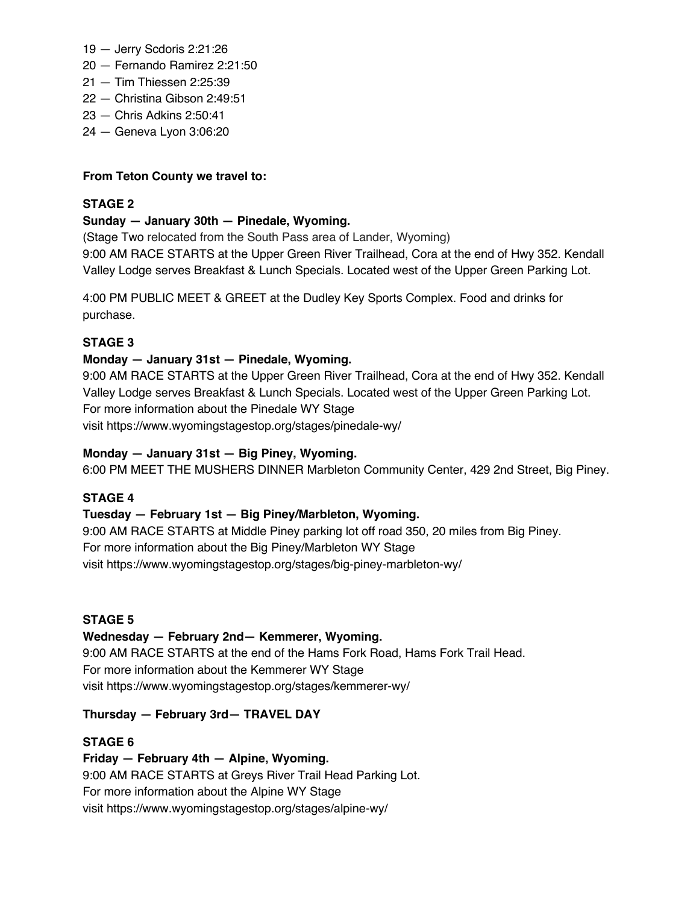- 19 Jerry Scdoris 2:21:26
- 20 Fernando Ramirez 2:21:50
- 21 Tim Thiessen 2:25:39
- 22 Christina Gibson 2:49:51
- 23 Chris Adkins 2:50:41
- 24 Geneva Lyon 3:06:20

## **From Teton County we travel to:**

## **STAGE 2**

#### **Sunday — January 30th — Pinedale, Wyoming.**

(Stage Two relocated from the South Pass area of Lander, Wyoming) 9:00 AM RACE STARTS at the Upper Green River Trailhead, Cora at the end of Hwy 352. Kendall Valley Lodge serves Breakfast & Lunch Specials. Located west of the Upper Green Parking Lot.

4:00 PM PUBLIC MEET & GREET at the Dudley Key Sports Complex. Food and drinks for purchase.

## **STAGE 3**

## **Monday — January 31st — Pinedale, Wyoming.**

9:00 AM RACE STARTS at the Upper Green River Trailhead, Cora at the end of Hwy 352. Kendall Valley Lodge serves Breakfast & Lunch Specials. Located west of the Upper Green Parking Lot. For more information about the Pinedale WY Stage visit https://www.wyomingstagestop.org/stages/pinedale-wy/

#### **Monday — January 31st — Big Piney, Wyoming.**

6:00 PM MEET THE MUSHERS DINNER Marbleton Community Center, 429 2nd Street, Big Piney.

# **STAGE 4**

#### **Tuesday — February 1st — Big Piney/Marbleton, Wyoming.**

9:00 AM RACE STARTS at Middle Piney parking lot off road 350, 20 miles from Big Piney. For more information about the Big Piney/Marbleton WY Stage visit https://www.wyomingstagestop.org/stages/big-piney-marbleton-wy/

#### **STAGE 5**

**Wednesday — February 2nd— Kemmerer, Wyoming.** 9:00 AM RACE STARTS at the end of the Hams Fork Road, Hams Fork Trail Head. For more information about the Kemmerer WY Stage visit https://www.wyomingstagestop.org/stages/kemmerer-wy/

# **Thursday — February 3rd— TRAVEL DAY**

#### **STAGE 6**

# **Friday — February 4th — Alpine, Wyoming.**

9:00 AM RACE STARTS at Greys River Trail Head Parking Lot. For more information about the Alpine WY Stage visit https://www.wyomingstagestop.org/stages/alpine-wy/